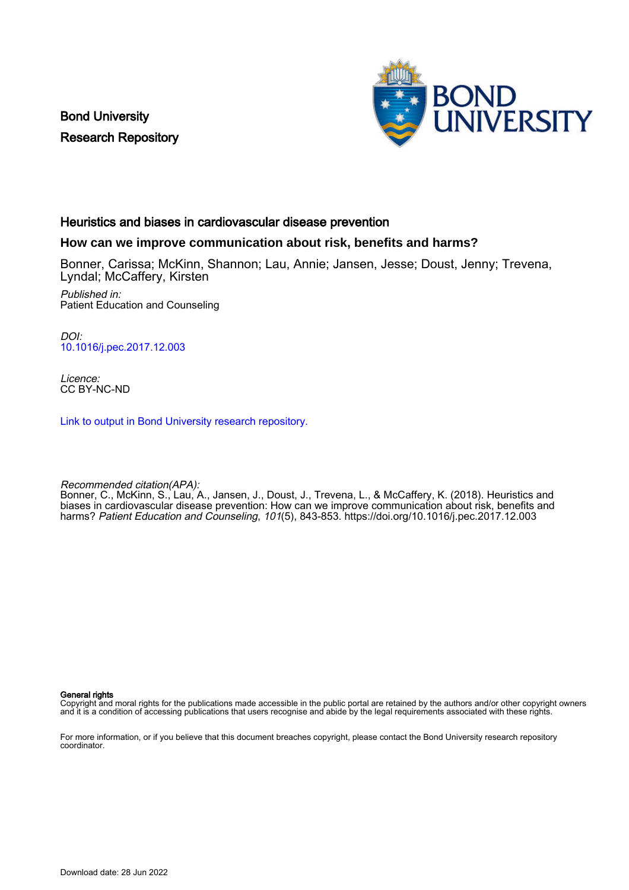Bond University Research Repository



# Heuristics and biases in cardiovascular disease prevention

#### **How can we improve communication about risk, benefits and harms?**

Bonner, Carissa; McKinn, Shannon; Lau, Annie; Jansen, Jesse; Doust, Jenny; Trevena, Lyndal; McCaffery, Kirsten

Published in: Patient Education and Counseling

DOI: [10.1016/j.pec.2017.12.003](https://doi.org/10.1016/j.pec.2017.12.003)

Licence: CC BY-NC-ND

[Link to output in Bond University research repository.](https://research.bond.edu.au/en/publications/2517b473-7649-4245-9f6c-5c36ba8c8276)

Recommended citation(APA):

Bonner, C., McKinn, S., Lau, A., Jansen, J., Doust, J., Trevena, L., & McCaffery, K. (2018). Heuristics and biases in cardiovascular disease prevention: How can we improve communication about risk, benefits and harms? Patient Education and Counseling, 101(5), 843-853. <https://doi.org/10.1016/j.pec.2017.12.003>

General rights

Copyright and moral rights for the publications made accessible in the public portal are retained by the authors and/or other copyright owners and it is a condition of accessing publications that users recognise and abide by the legal requirements associated with these rights.

For more information, or if you believe that this document breaches copyright, please contact the Bond University research repository coordinator.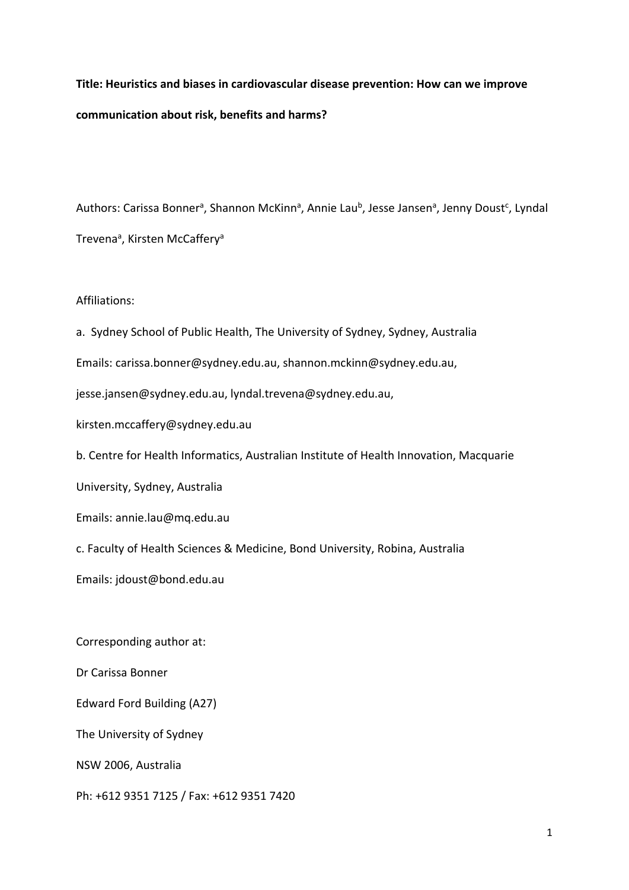# **Title: Heuristics and biases in cardiovascular disease prevention: How can we improve communication about risk, benefits and harms?**

Authors: Carissa Bonner<sup>a</sup>, Shannon McKinn<sup>a</sup>, Annie Lau<sup>b</sup>, Jesse Jansen<sup>a</sup>, Jenny Doust<sup>c</sup>, Lyndal Trevena<sup>a</sup>, Kirsten McCaffery<sup>a</sup>

# Affiliations:

a. Sydney School of Public Health, The University of Sydney, Sydney, Australia

Emails: carissa.bonner@sydney.edu.au, shannon.mckinn@sydney.edu.au,

jesse.jansen@sydney.edu.au, lyndal.trevena@sydney.edu.au,

kirsten.mccaffery@sydney.edu.au

b. Centre for Health Informatics, Australian Institute of Health Innovation, Macquarie

University, Sydney, Australia

Emails: annie.lau@mq.edu.au

c. Faculty of Health Sciences & Medicine, Bond University, Robina, Australia

Emails: jdoust@bond.edu.au

Corresponding author at:

Dr Carissa Bonner

Edward Ford Building (A27)

The University of Sydney

NSW 2006, Australia

Ph: +612 9351 7125 / Fax: +612 9351 7420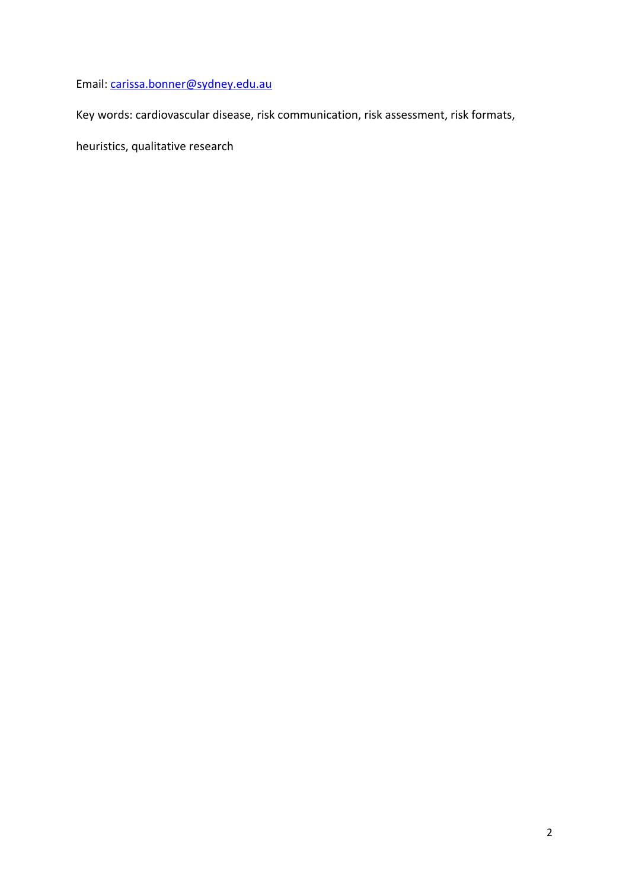Email: carissa.bonner@sydney.edu.au

Key words: cardiovascular disease, risk communication, risk assessment, risk formats,

heuristics, qualitative research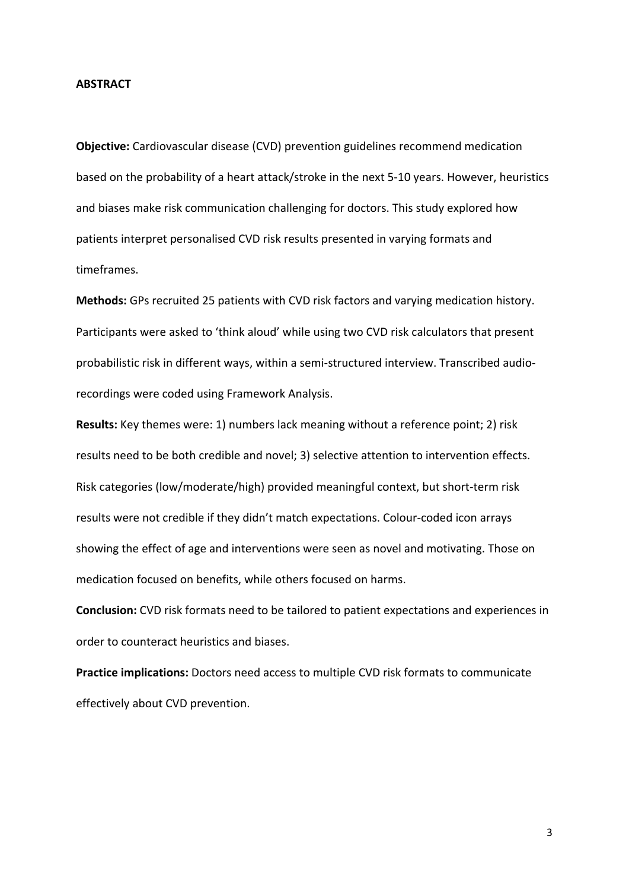#### **ABSTRACT**

**Objective:** Cardiovascular disease (CVD) prevention guidelines recommend medication based on the probability of a heart attack/stroke in the next 5‐10 years. However, heuristics and biases make risk communication challenging for doctors. This study explored how patients interpret personalised CVD risk results presented in varying formats and timeframes.

**Methods:** GPs recruited 25 patients with CVD risk factors and varying medication history. Participants were asked to 'think aloud' while using two CVD risk calculators that present probabilistic risk in different ways, within a semi‐structured interview. Transcribed audio‐ recordings were coded using Framework Analysis.

**Results:** Key themes were: 1) numbers lack meaning without a reference point; 2) risk results need to be both credible and novel; 3) selective attention to intervention effects. Risk categories (low/moderate/high) provided meaningful context, but short‐term risk results were not credible if they didn't match expectations. Colour‐coded icon arrays showing the effect of age and interventions were seen as novel and motivating. Those on medication focused on benefits, while others focused on harms.

**Conclusion:** CVD risk formats need to be tailored to patient expectations and experiences in order to counteract heuristics and biases.

**Practice implications:** Doctors need access to multiple CVD risk formats to communicate effectively about CVD prevention.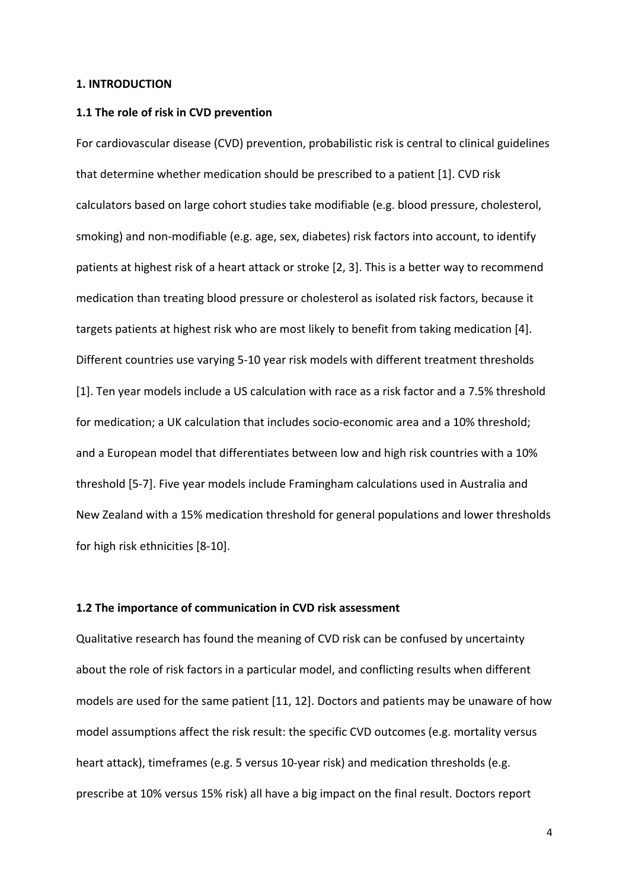#### **1. INTRODUCTION**

#### **1.1 The role of risk in CVD prevention**

For cardiovascular disease (CVD) prevention, probabilistic risk is central to clinical guidelines that determine whether medication should be prescribed to a patient [1]. CVD risk calculators based on large cohort studies take modifiable (e.g. blood pressure, cholesterol, smoking) and non-modifiable (e.g. age, sex, diabetes) risk factors into account, to identify patients at highest risk of a heart attack or stroke [2, 3]. This is a better way to recommend medication than treating blood pressure or cholesterol as isolated risk factors, because it targets patients at highest risk who are most likely to benefit from taking medication [4]. Different countries use varying 5‐10 year risk models with different treatment thresholds [1]. Ten year models include a US calculation with race as a risk factor and a 7.5% threshold for medication; a UK calculation that includes socio-economic area and a 10% threshold; and a European model that differentiates between low and high risk countries with a 10% threshold [5‐7]. Five year models include Framingham calculations used in Australia and New Zealand with a 15% medication threshold for general populations and lower thresholds for high risk ethnicities [8‐10].

#### **1.2 The importance of communication in CVD risk assessment**

Qualitative research has found the meaning of CVD risk can be confused by uncertainty about the role of risk factors in a particular model, and conflicting results when different models are used for the same patient [11, 12]. Doctors and patients may be unaware of how model assumptions affect the risk result: the specific CVD outcomes (e.g. mortality versus heart attack), timeframes (e.g. 5 versus 10-year risk) and medication thresholds (e.g. prescribe at 10% versus 15% risk) all have a big impact on the final result. Doctors report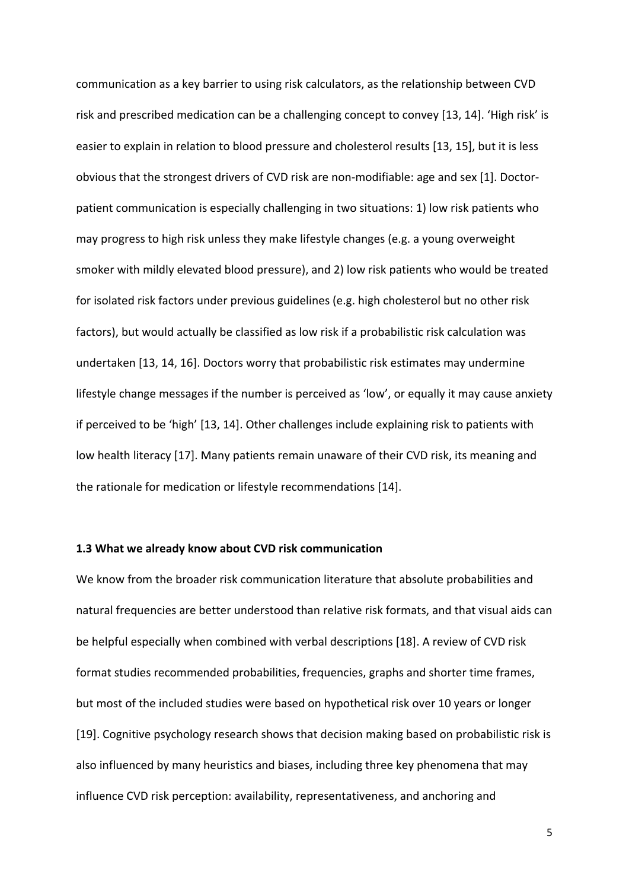communication as a key barrier to using risk calculators, as the relationship between CVD risk and prescribed medication can be a challenging concept to convey [13, 14]. 'High risk' is easier to explain in relation to blood pressure and cholesterol results [13, 15], but it is less obvious that the strongest drivers of CVD risk are non‐modifiable: age and sex [1]. Doctor‐ patient communication is especially challenging in two situations: 1) low risk patients who may progress to high risk unless they make lifestyle changes (e.g. a young overweight smoker with mildly elevated blood pressure), and 2) low risk patients who would be treated for isolated risk factors under previous guidelines (e.g. high cholesterol but no other risk factors), but would actually be classified as low risk if a probabilistic risk calculation was undertaken [13, 14, 16]. Doctors worry that probabilistic risk estimates may undermine lifestyle change messages if the number is perceived as 'low', or equally it may cause anxiety if perceived to be 'high' [13, 14]. Other challenges include explaining risk to patients with low health literacy [17]. Many patients remain unaware of their CVD risk, its meaning and the rationale for medication or lifestyle recommendations [14].

#### **1.3 What we already know about CVD risk communication**

We know from the broader risk communication literature that absolute probabilities and natural frequencies are better understood than relative risk formats, and that visual aids can be helpful especially when combined with verbal descriptions [18]. A review of CVD risk format studies recommended probabilities, frequencies, graphs and shorter time frames, but most of the included studies were based on hypothetical risk over 10 years or longer [19]. Cognitive psychology research shows that decision making based on probabilistic risk is also influenced by many heuristics and biases, including three key phenomena that may influence CVD risk perception: availability, representativeness, and anchoring and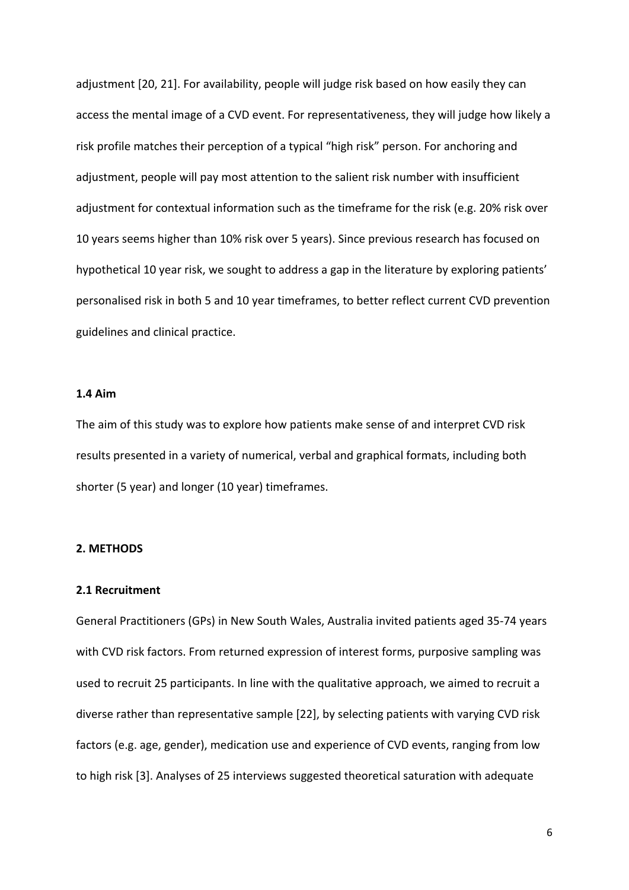adjustment [20, 21]. For availability, people will judge risk based on how easily they can access the mental image of a CVD event. For representativeness, they will judge how likely a risk profile matches their perception of a typical "high risk" person. For anchoring and adjustment, people will pay most attention to the salient risk number with insufficient adjustment for contextual information such as the timeframe for the risk (e.g. 20% risk over 10 years seems higher than 10% risk over 5 years). Since previous research has focused on hypothetical 10 year risk, we sought to address a gap in the literature by exploring patients' personalised risk in both 5 and 10 year timeframes, to better reflect current CVD prevention guidelines and clinical practice.

#### **1.4 Aim**

The aim of this study was to explore how patients make sense of and interpret CVD risk results presented in a variety of numerical, verbal and graphical formats, including both shorter (5 year) and longer (10 year) timeframes.

#### **2. METHODS**

#### **2.1 Recruitment**

General Practitioners (GPs) in New South Wales, Australia invited patients aged 35‐74 years with CVD risk factors. From returned expression of interest forms, purposive sampling was used to recruit 25 participants. In line with the qualitative approach, we aimed to recruit a diverse rather than representative sample [22], by selecting patients with varying CVD risk factors (e.g. age, gender), medication use and experience of CVD events, ranging from low to high risk [3]. Analyses of 25 interviews suggested theoretical saturation with adequate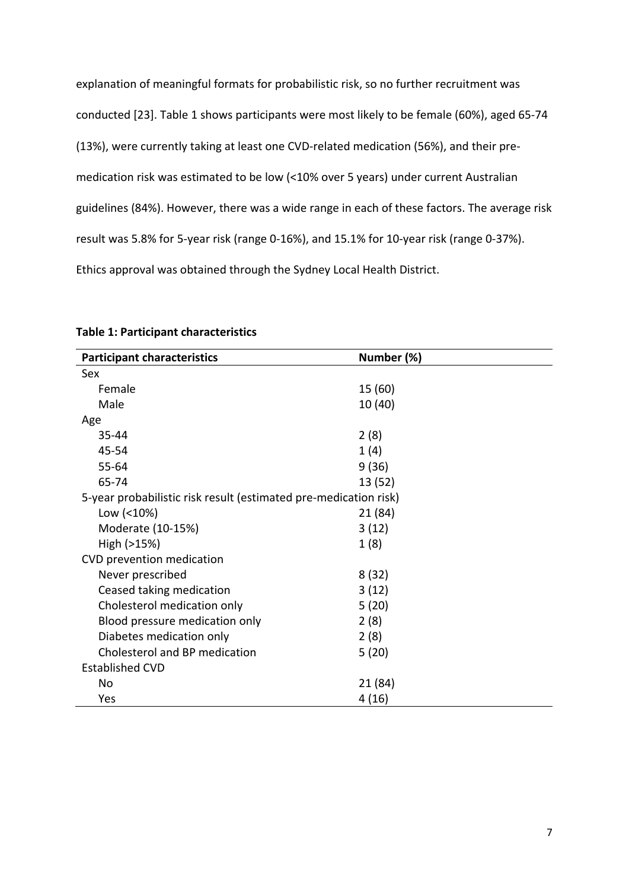explanation of meaningful formats for probabilistic risk, so no further recruitment was conducted [23]. Table 1 shows participants were most likely to be female (60%), aged 65‐74 (13%), were currently taking at least one CVD‐related medication (56%), and their pre‐ medication risk was estimated to be low (<10% over 5 years) under current Australian guidelines (84%). However, there was a wide range in each of these factors. The average risk result was 5.8% for 5‐year risk (range 0‐16%), and 15.1% for 10‐year risk (range 0‐37%). Ethics approval was obtained through the Sydney Local Health District.

| <b>Participant characteristics</b>                               | Number (%) |  |  |
|------------------------------------------------------------------|------------|--|--|
| Sex                                                              |            |  |  |
| Female                                                           | 15 (60)    |  |  |
| Male                                                             | 10 (40)    |  |  |
| Age                                                              |            |  |  |
| 35-44                                                            | 2(8)       |  |  |
| 45-54                                                            | 1(4)       |  |  |
| $55 - 64$                                                        | 9(36)      |  |  |
| 65-74                                                            | 13 (52)    |  |  |
| 5-year probabilistic risk result (estimated pre-medication risk) |            |  |  |
| Low $( < 10\%)$                                                  | 21 (84)    |  |  |
| Moderate (10-15%)                                                | 3(12)      |  |  |
| High (>15%)                                                      | 1(8)       |  |  |
| CVD prevention medication                                        |            |  |  |
| Never prescribed                                                 | 8(32)      |  |  |
| Ceased taking medication                                         | 3(12)      |  |  |
| Cholesterol medication only                                      | 5(20)      |  |  |
| Blood pressure medication only                                   | 2(8)       |  |  |
| Diabetes medication only                                         | 2(8)       |  |  |
| Cholesterol and BP medication                                    | 5(20)      |  |  |
| <b>Established CVD</b>                                           |            |  |  |
| No                                                               | 21 (84)    |  |  |
| Yes                                                              | 4(16)      |  |  |

# **Table 1: Participant characteristics**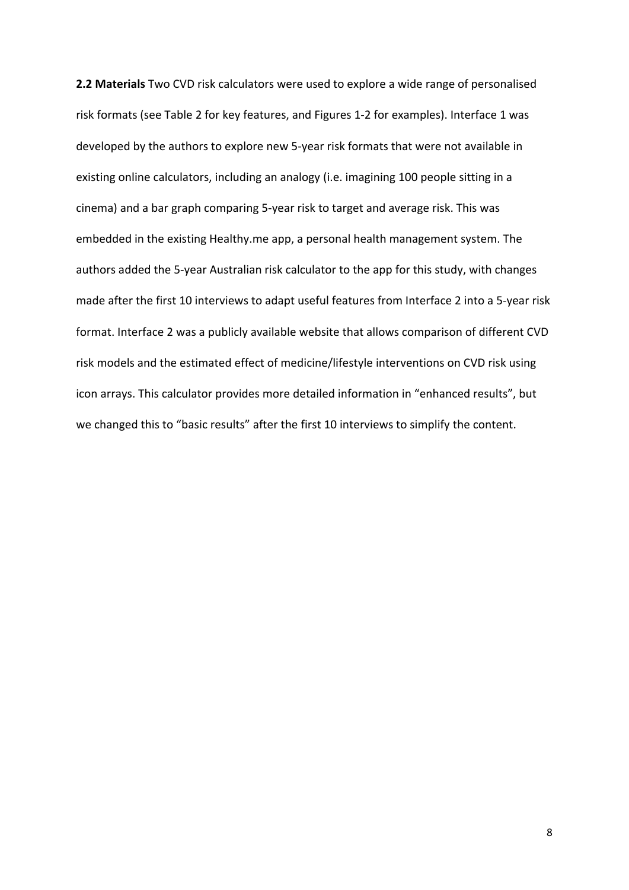**2.2 Materials** Two CVD risk calculators were used to explore a wide range of personalised risk formats (see Table 2 for key features, and Figures 1‐2 for examples). Interface 1 was developed by the authors to explore new 5‐year risk formats that were not available in existing online calculators, including an analogy (i.e. imagining 100 people sitting in a cinema) and a bar graph comparing 5‐year risk to target and average risk. This was embedded in the existing Healthy.me app, a personal health management system. The authors added the 5‐year Australian risk calculator to the app for this study, with changes made after the first 10 interviews to adapt useful features from Interface 2 into a 5‐year risk format. Interface 2 was a publicly available website that allows comparison of different CVD risk models and the estimated effect of medicine/lifestyle interventions on CVD risk using icon arrays. This calculator provides more detailed information in "enhanced results", but we changed this to "basic results" after the first 10 interviews to simplify the content.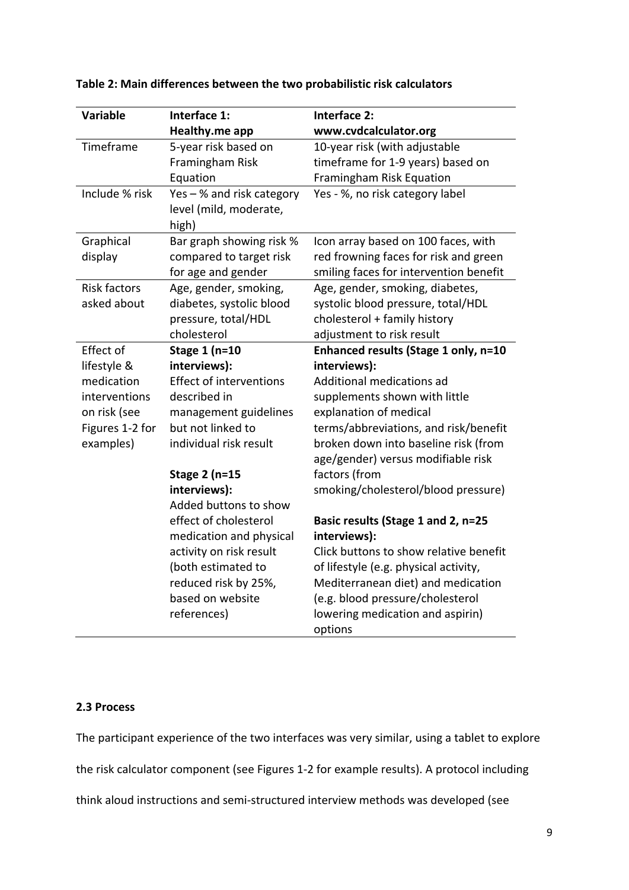| <b>Variable</b>     | Interface 1:                   | <b>Interface 2:</b>                    |
|---------------------|--------------------------------|----------------------------------------|
|                     | Healthy.me app                 | www.cvdcalculator.org                  |
| Timeframe           | 5-year risk based on           | 10-year risk (with adjustable          |
|                     | Framingham Risk                | timeframe for 1-9 years) based on      |
|                     | Equation                       | Framingham Risk Equation               |
| Include % risk      | Yes - % and risk category      | Yes - %, no risk category label        |
|                     | level (mild, moderate,         |                                        |
|                     | high)                          |                                        |
| Graphical           | Bar graph showing risk %       | Icon array based on 100 faces, with    |
| display             | compared to target risk        | red frowning faces for risk and green  |
|                     | for age and gender             | smiling faces for intervention benefit |
| <b>Risk factors</b> | Age, gender, smoking,          | Age, gender, smoking, diabetes,        |
| asked about         | diabetes, systolic blood       | systolic blood pressure, total/HDL     |
|                     | pressure, total/HDL            | cholesterol + family history           |
|                     | cholesterol                    | adjustment to risk result              |
| <b>Effect of</b>    | <b>Stage 1 (n=10</b>           | Enhanced results (Stage 1 only, n=10   |
| lifestyle &         | interviews):                   | interviews):                           |
| medication          | <b>Effect of interventions</b> | Additional medications ad              |
| interventions       | described in                   | supplements shown with little          |
| on risk (see        | management guidelines          | explanation of medical                 |
| Figures 1-2 for     | but not linked to              | terms/abbreviations, and risk/benefit  |
| examples)           | individual risk result         | broken down into baseline risk (from   |
|                     |                                | age/gender) versus modifiable risk     |
|                     | <b>Stage 2 (n=15</b>           | factors (from                          |
|                     | interviews):                   | smoking/cholesterol/blood pressure)    |
|                     | Added buttons to show          |                                        |
|                     | effect of cholesterol          | Basic results (Stage 1 and 2, n=25     |
|                     | medication and physical        | interviews):                           |
|                     | activity on risk result        | Click buttons to show relative benefit |
|                     | (both estimated to             | of lifestyle (e.g. physical activity,  |
|                     | reduced risk by 25%,           | Mediterranean diet) and medication     |
|                     | based on website               | (e.g. blood pressure/cholesterol       |
|                     | references)                    | lowering medication and aspirin)       |
|                     |                                | options                                |

#### **Table 2: Main differences between the two probabilistic risk calculators**

# **2.3 Process**

The participant experience of the two interfaces was very similar, using a tablet to explore the risk calculator component (see Figures 1‐2 for example results). A protocol including

think aloud instructions and semi‐structured interview methods was developed (see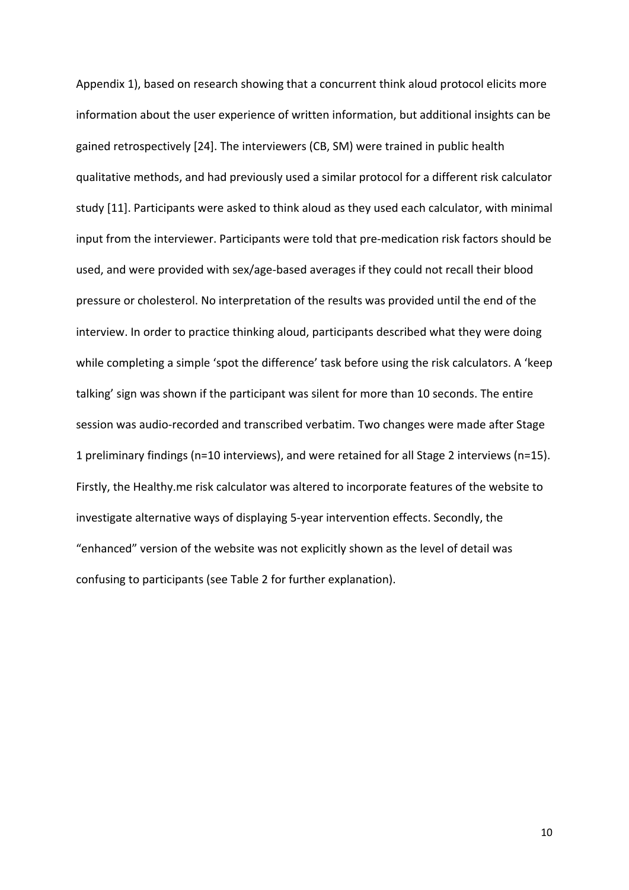Appendix 1), based on research showing that a concurrent think aloud protocol elicits more information about the user experience of written information, but additional insights can be gained retrospectively [24]. The interviewers (CB, SM) were trained in public health qualitative methods, and had previously used a similar protocol for a different risk calculator study [11]. Participants were asked to think aloud as they used each calculator, with minimal input from the interviewer. Participants were told that pre-medication risk factors should be used, and were provided with sex/age‐based averages if they could not recall their blood pressure or cholesterol. No interpretation of the results was provided until the end of the interview. In order to practice thinking aloud, participants described what they were doing while completing a simple 'spot the difference' task before using the risk calculators. A 'keep talking' sign was shown if the participant was silent for more than 10 seconds. The entire session was audio‐recorded and transcribed verbatim. Two changes were made after Stage 1 preliminary findings (n=10 interviews), and were retained for all Stage 2 interviews (n=15). Firstly, the Healthy.me risk calculator was altered to incorporate features of the website to investigate alternative ways of displaying 5‐year intervention effects. Secondly, the "enhanced" version of the website was not explicitly shown as the level of detail was confusing to participants (see Table 2 for further explanation).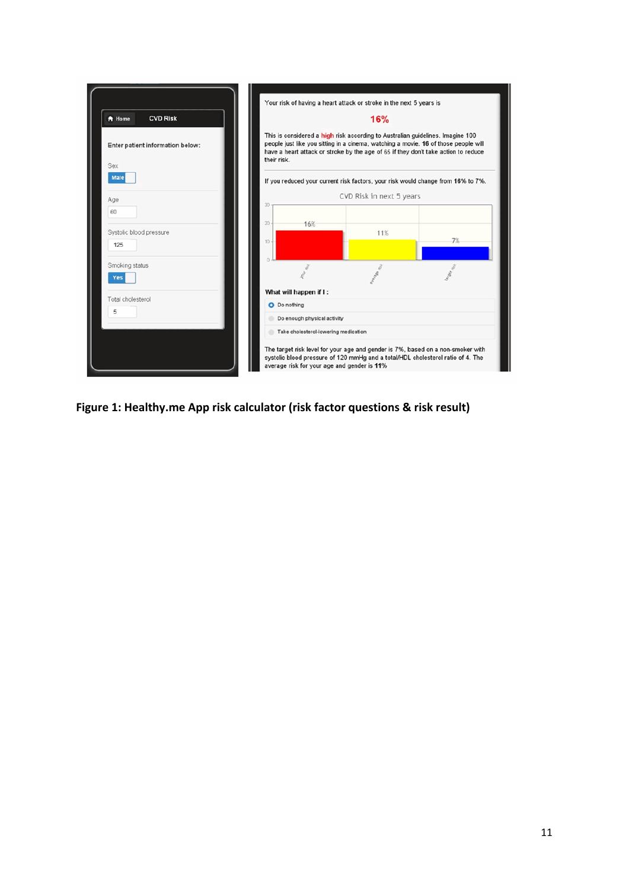

**Figure 1: Healthy.me App risk calculator (risk factor questions & risk result)**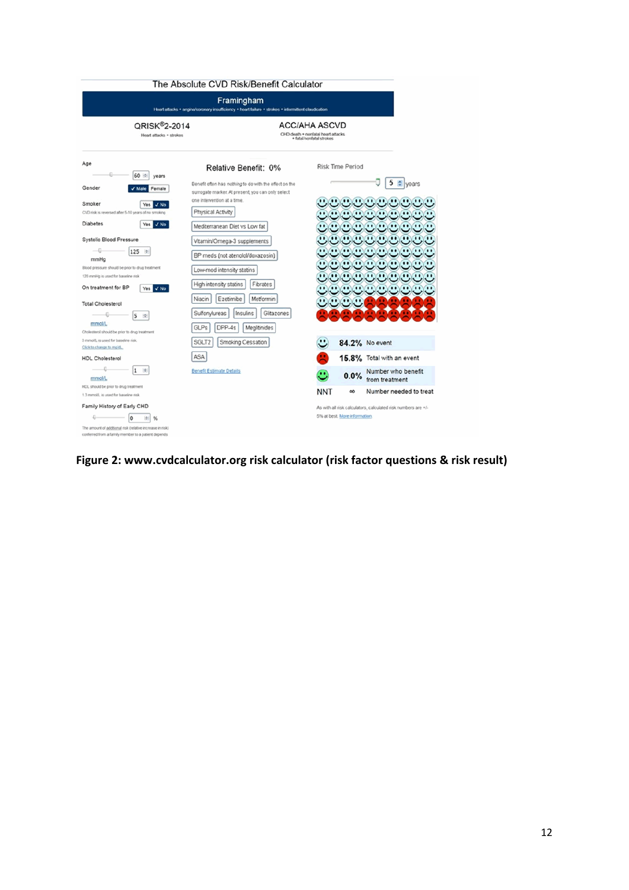

**Figure 2: www.cvdcalculator.org risk calculator (risk factor questions & risk result)**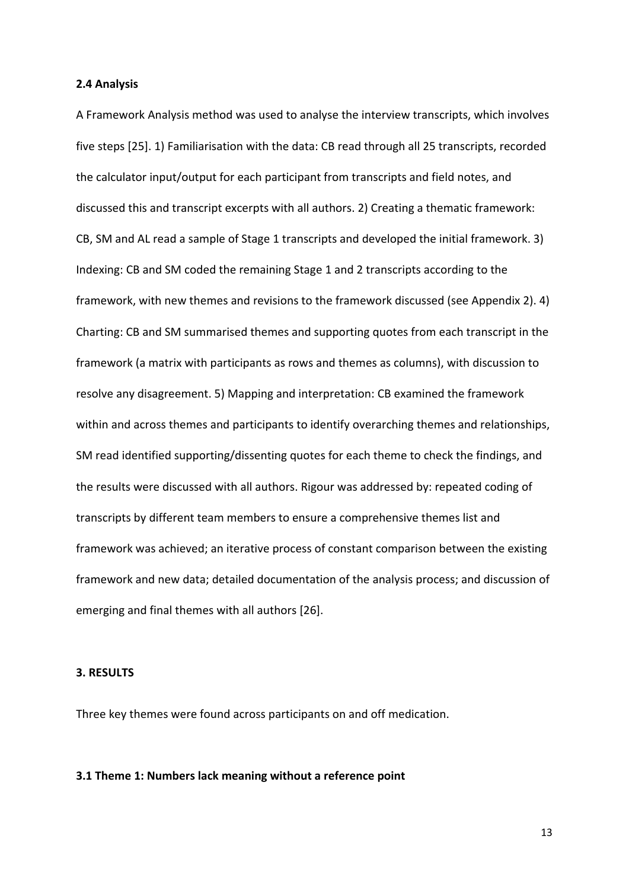#### **2.4 Analysis**

A Framework Analysis method was used to analyse the interview transcripts, which involves five steps [25]. 1) Familiarisation with the data: CB read through all 25 transcripts, recorded the calculator input/output for each participant from transcripts and field notes, and discussed this and transcript excerpts with all authors. 2) Creating a thematic framework: CB, SM and AL read a sample of Stage 1 transcripts and developed the initial framework. 3) Indexing: CB and SM coded the remaining Stage 1 and 2 transcripts according to the framework, with new themes and revisions to the framework discussed (see Appendix 2). 4) Charting: CB and SM summarised themes and supporting quotes from each transcript in the framework (a matrix with participants as rows and themes as columns), with discussion to resolve any disagreement. 5) Mapping and interpretation: CB examined the framework within and across themes and participants to identify overarching themes and relationships, SM read identified supporting/dissenting quotes for each theme to check the findings, and the results were discussed with all authors. Rigour was addressed by: repeated coding of transcripts by different team members to ensure a comprehensive themes list and framework was achieved; an iterative process of constant comparison between the existing framework and new data; detailed documentation of the analysis process; and discussion of emerging and final themes with all authors [26].

#### **3. RESULTS**

Three key themes were found across participants on and off medication.

#### **3.1 Theme 1: Numbers lack meaning without a reference point**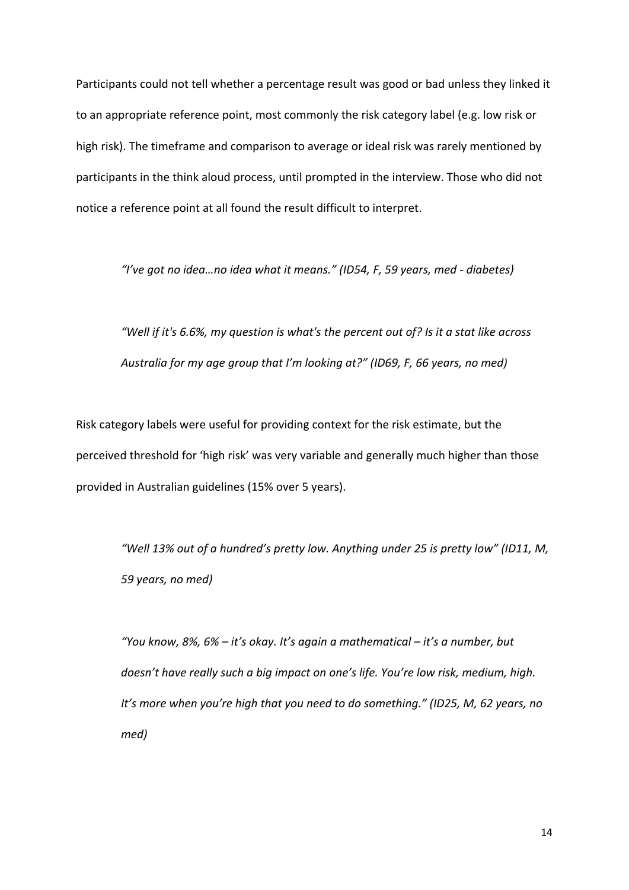Participants could not tell whether a percentage result was good or bad unless they linked it to an appropriate reference point, most commonly the risk category label (e.g. low risk or high risk). The timeframe and comparison to average or ideal risk was rarely mentioned by participants in the think aloud process, until prompted in the interview. Those who did not notice a reference point at all found the result difficult to interpret.

*"I've got no idea…no idea what it means." (ID54, F, 59 years, med ‐ diabetes)*

*"Well if it's 6.6%, my question is what's the percent out of? Is it a stat like across Australia for my age group that I'm looking at?" (ID69, F, 66 years, no med)*

Risk category labels were useful for providing context for the risk estimate, but the perceived threshold for 'high risk' was very variable and generally much higher than those provided in Australian guidelines (15% over 5 years).

*"Well 13% out of a hundred's pretty low. Anything under 25 is pretty low" (ID11, M, 59 years, no med)*

*"You know, 8%, 6% – it's okay. It's again a mathematical – it's a number, but doesn't have really such a big impact on one's life. You're low risk, medium, high. It's more when you're high that you need to do something." (ID25, M, 62 years, no med)*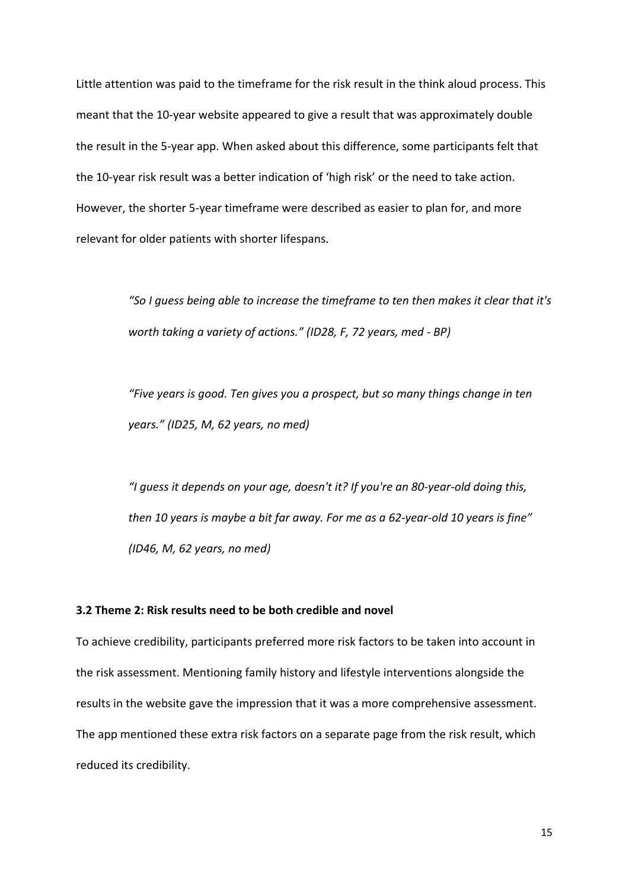Little attention was paid to the timeframe for the risk result in the think aloud process. This meant that the 10‐year website appeared to give a result that was approximately double the result in the 5‐year app. When asked about this difference, some participants felt that the 10‐year risk result was a better indication of 'high risk' or the need to take action. However, the shorter 5‐year timeframe were described as easier to plan for, and more relevant for older patients with shorter lifespans.

> *"So I guess being able to increase the timeframe to ten then makes it clear that it's worth taking a variety of actions." (ID28, F, 72 years, med ‐ BP)*

*"Five years is good. Ten gives you a prospect, but so many things change in ten years." (ID25, M, 62 years, no med)*

*"I guess it depends on your age, doesn't it? If you're an 80‐year‐old doing this,* then 10 years is maybe a bit far away. For me as a 62-year-old 10 years is fine" *(ID46, M, 62 years, no med)*

#### **3.2 Theme 2: Risk results need to be both credible and novel**

To achieve credibility, participants preferred more risk factors to be taken into account in the risk assessment. Mentioning family history and lifestyle interventions alongside the results in the website gave the impression that it was a more comprehensive assessment. The app mentioned these extra risk factors on a separate page from the risk result, which reduced its credibility.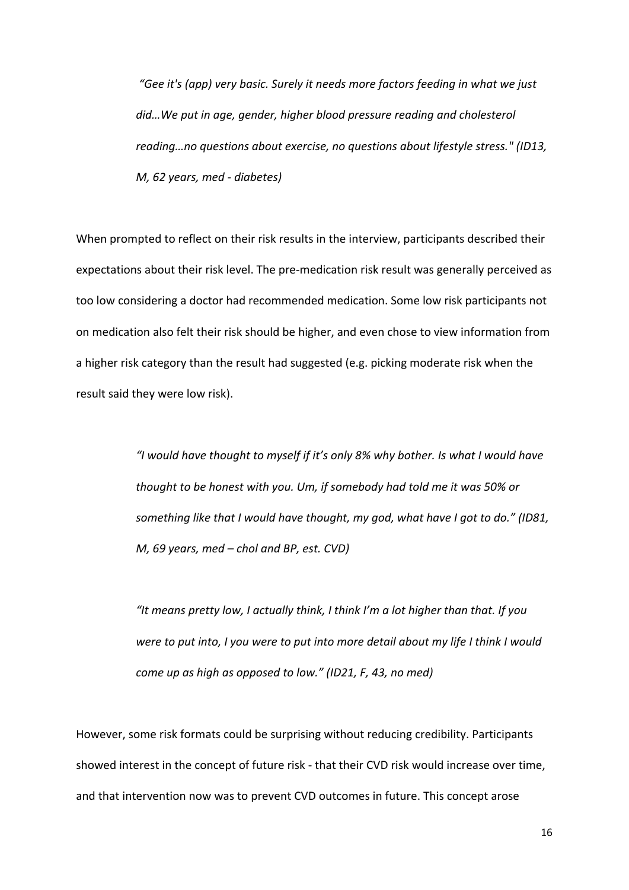*"Gee it's (app) very basic. Surely it needs more factors feeding in what we just did…We put in age, gender, higher blood pressure reading and cholesterol reading…no questions about exercise, no questions about lifestyle stress." (ID13, M, 62 years, med ‐ diabetes)*

When prompted to reflect on their risk results in the interview, participants described their expectations about their risk level. The pre‐medication risk result was generally perceived as too low considering a doctor had recommended medication. Some low risk participants not on medication also felt their risk should be higher, and even chose to view information from a higher risk category than the result had suggested (e.g. picking moderate risk when the result said they were low risk).

> *"I would have thought to myself if it's only 8% why bother. Is what I would have thought to be honest with you. Um, if somebody had told me it was 50% or something like that I would have thought, my god, what have I got to do." (ID81, M, 69 years, med – chol and BP, est. CVD)*

*"It means pretty low, I actually think, I think I'm a lot higher than that. If you were to put into, I you were to put into more detail about my life I think I would come up as high as opposed to low." (ID21, F, 43, no med)*

However, some risk formats could be surprising without reducing credibility. Participants showed interest in the concept of future risk ‐ that their CVD risk would increase over time, and that intervention now was to prevent CVD outcomes in future. This concept arose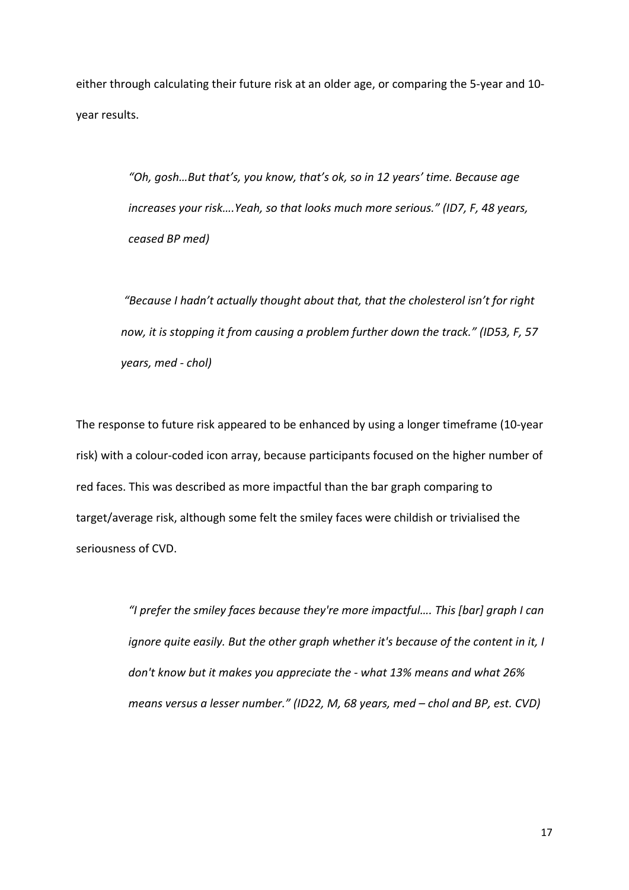either through calculating their future risk at an older age, or comparing the 5‐year and 10‐ year results.

> *"Oh, gosh…But that's, you know, that's ok, so in 12 years' time. Because age increases your risk….Yeah, so that looks much more serious." (ID7, F, 48 years, ceased BP med)*

*"Because I hadn't actually thought about that, that the cholesterol isn't for right now, it is stopping it from causing a problem further down the track." (ID53, F, 57 years, med ‐ chol)*

The response to future risk appeared to be enhanced by using a longer timeframe (10‐year risk) with a colour‐coded icon array, because participants focused on the higher number of red faces. This was described as more impactful than the bar graph comparing to target/average risk, although some felt the smiley faces were childish or trivialised the seriousness of CVD.

> *"I prefer the smiley faces because they're more impactful…. This [bar] graph I can ignore quite easily. But the other graph whether it's because of the content in it, I don't know but it makes you appreciate the ‐ what 13% means and what 26% means versus a lesser number." (ID22, M, 68 years, med – chol and BP, est. CVD)*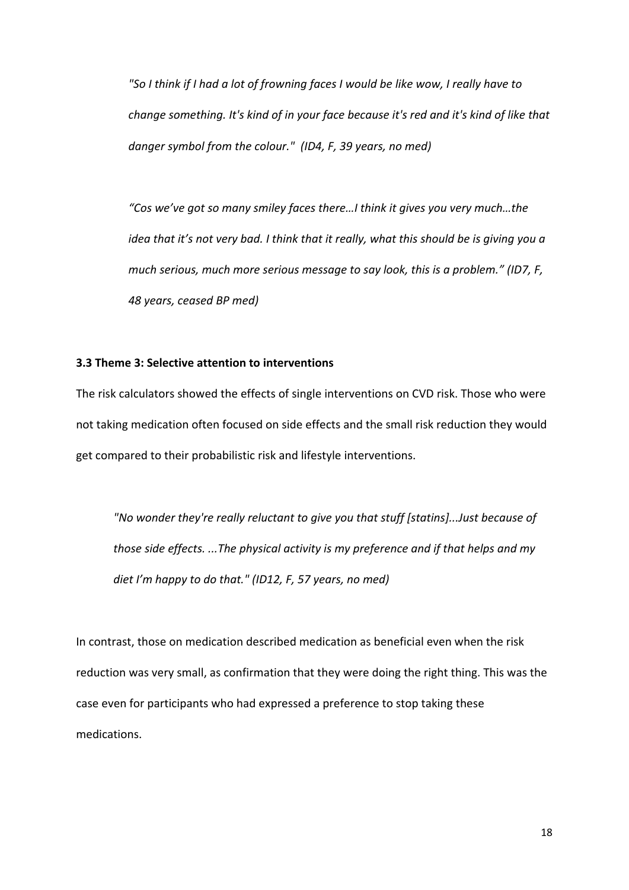*"So I think if I had a lot of frowning faces I would be like wow, I really have to change something. It's kind of in your face because it's red and it's kind of like that danger symbol from the colour." (ID4, F, 39 years, no med)*

*"Cos we've got so many smiley faces there…I think it gives you very much…the idea that it's not very bad. I think that it really, what this should be is giving you a much serious, much more serious message to say look, this is a problem." (ID7, F, 48 years, ceased BP med)*

#### **3.3 Theme 3: Selective attention to interventions**

The risk calculators showed the effects of single interventions on CVD risk. Those who were not taking medication often focused on side effects and the small risk reduction they would get compared to their probabilistic risk and lifestyle interventions.

*"No wonder they're really reluctant to give you that stuff [statins]...Just because of those side effects. ...The physical activity is my preference and if that helps and my diet I'm happy to do that." (ID12, F, 57 years, no med)*

In contrast, those on medication described medication as beneficial even when the risk reduction was very small, as confirmation that they were doing the right thing. This was the case even for participants who had expressed a preference to stop taking these medications.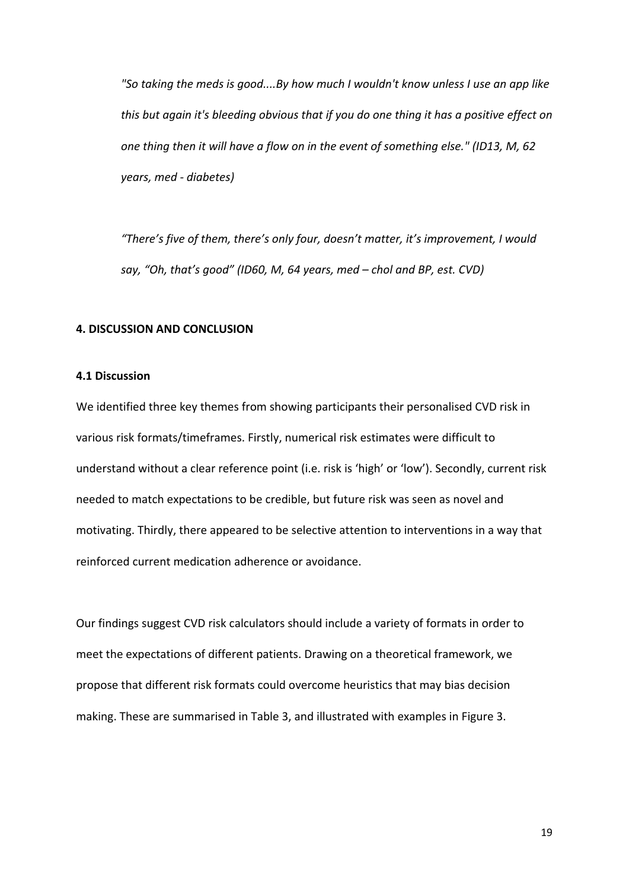*"So taking the meds is good....By how much I wouldn't know unless I use an app like this but again it's bleeding obvious that if you do one thing it has a positive effect on one thing then it will have a flow on in the event of something else." (ID13, M, 62 years, med ‐ diabetes)*

*"There's five of them, there's only four, doesn't matter, it's improvement, I would say, "Oh, that's good" (ID60, M, 64 years, med – chol and BP, est. CVD)*

#### **4. DISCUSSION AND CONCLUSION**

### **4.1 Discussion**

We identified three key themes from showing participants their personalised CVD risk in various risk formats/timeframes. Firstly, numerical risk estimates were difficult to understand without a clear reference point (i.e. risk is 'high' or 'low'). Secondly, current risk needed to match expectations to be credible, but future risk was seen as novel and motivating. Thirdly, there appeared to be selective attention to interventions in a way that reinforced current medication adherence or avoidance.

Our findings suggest CVD risk calculators should include a variety of formats in order to meet the expectations of different patients. Drawing on a theoretical framework, we propose that different risk formats could overcome heuristics that may bias decision making. These are summarised in Table 3, and illustrated with examples in Figure 3.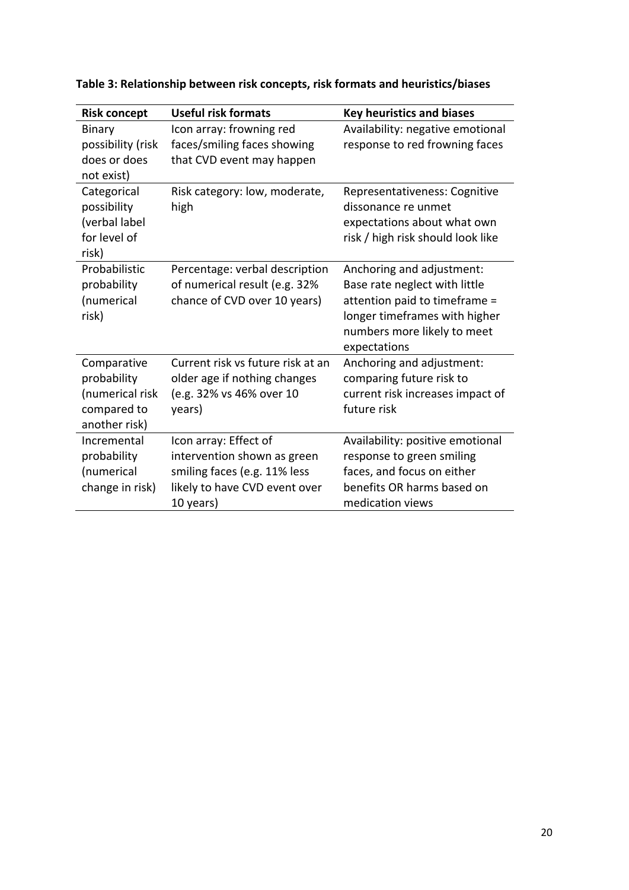| <b>Risk concept</b>                                                           | <b>Useful risk formats</b>                                                                                                         | <b>Key heuristics and biases</b>                                                                                                                                            |
|-------------------------------------------------------------------------------|------------------------------------------------------------------------------------------------------------------------------------|-----------------------------------------------------------------------------------------------------------------------------------------------------------------------------|
| Binary<br>possibility (risk<br>does or does<br>not exist)                     | Icon array: frowning red<br>faces/smiling faces showing<br>that CVD event may happen                                               | Availability: negative emotional<br>response to red frowning faces                                                                                                          |
| Categorical<br>possibility<br>(verbal label<br>for level of<br>risk)          | Risk category: low, moderate,<br>high                                                                                              | Representativeness: Cognitive<br>dissonance re unmet<br>expectations about what own<br>risk / high risk should look like                                                    |
| Probabilistic<br>probability<br>(numerical<br>risk)                           | Percentage: verbal description<br>of numerical result (e.g. 32%<br>chance of CVD over 10 years)                                    | Anchoring and adjustment:<br>Base rate neglect with little<br>attention paid to timeframe =<br>longer timeframes with higher<br>numbers more likely to meet<br>expectations |
| Comparative<br>probability<br>(numerical risk<br>compared to<br>another risk) | Current risk vs future risk at an<br>older age if nothing changes<br>(e.g. 32% vs 46% over 10<br>years)                            | Anchoring and adjustment:<br>comparing future risk to<br>current risk increases impact of<br>future risk                                                                    |
| Incremental<br>probability<br>(numerical<br>change in risk)                   | Icon array: Effect of<br>intervention shown as green<br>smiling faces (e.g. 11% less<br>likely to have CVD event over<br>10 years) | Availability: positive emotional<br>response to green smiling<br>faces, and focus on either<br>benefits OR harms based on<br>medication views                               |

# **Table 3: Relationship between risk concepts, risk formats and heuristics/biases**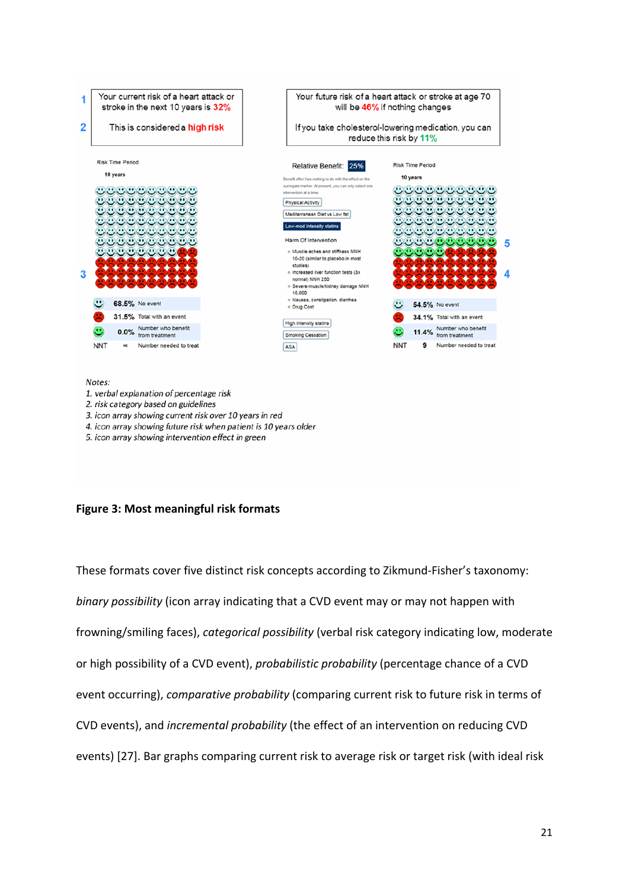

**Figure 3: Most meaningful risk formats**

These formats cover five distinct risk concepts according to Zikmund‐Fisher's taxonomy: *binary possibility* (icon array indicating that a CVD event may or may not happen with frowning/smiling faces), *categorical possibility* (verbal risk category indicating low, moderate or high possibility of a CVD event), *probabilistic probability* (percentage chance of a CVD event occurring), *comparative probability* (comparing current risk to future risk in terms of CVD events), and *incremental probability* (the effect of an intervention on reducing CVD events) [27]. Bar graphs comparing current risk to average risk or target risk (with ideal risk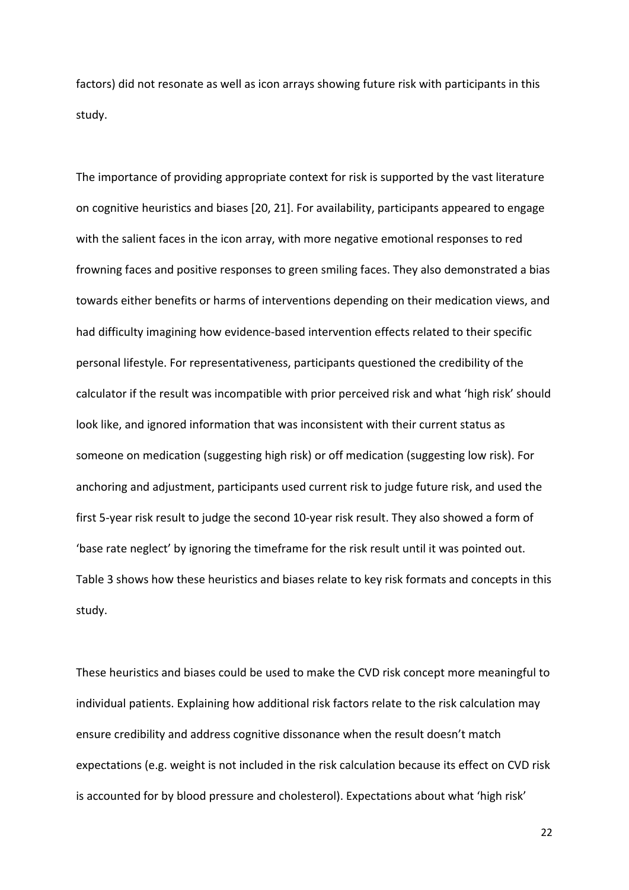factors) did not resonate as well as icon arrays showing future risk with participants in this study.

The importance of providing appropriate context for risk is supported by the vast literature on cognitive heuristics and biases [20, 21]. For availability, participants appeared to engage with the salient faces in the icon array, with more negative emotional responses to red frowning faces and positive responses to green smiling faces. They also demonstrated a bias towards either benefits or harms of interventions depending on their medication views, and had difficulty imagining how evidence‐based intervention effects related to their specific personal lifestyle. For representativeness, participants questioned the credibility of the calculator if the result was incompatible with prior perceived risk and what 'high risk' should look like, and ignored information that was inconsistent with their current status as someone on medication (suggesting high risk) or off medication (suggesting low risk). For anchoring and adjustment, participants used current risk to judge future risk, and used the first 5‐year risk result to judge the second 10‐year risk result. They also showed a form of 'base rate neglect' by ignoring the timeframe for the risk result until it was pointed out. Table 3 shows how these heuristics and biases relate to key risk formats and concepts in this study.

These heuristics and biases could be used to make the CVD risk concept more meaningful to individual patients. Explaining how additional risk factors relate to the risk calculation may ensure credibility and address cognitive dissonance when the result doesn't match expectations (e.g. weight is not included in the risk calculation because its effect on CVD risk is accounted for by blood pressure and cholesterol). Expectations about what 'high risk'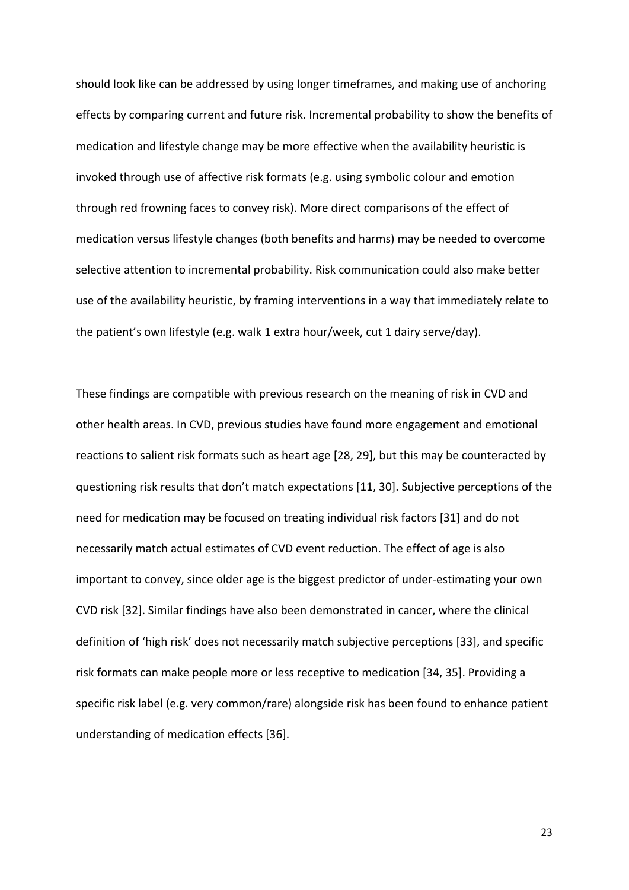should look like can be addressed by using longer timeframes, and making use of anchoring effects by comparing current and future risk. Incremental probability to show the benefits of medication and lifestyle change may be more effective when the availability heuristic is invoked through use of affective risk formats (e.g. using symbolic colour and emotion through red frowning faces to convey risk). More direct comparisons of the effect of medication versus lifestyle changes (both benefits and harms) may be needed to overcome selective attention to incremental probability. Risk communication could also make better use of the availability heuristic, by framing interventions in a way that immediately relate to the patient's own lifestyle (e.g. walk 1 extra hour/week, cut 1 dairy serve/day).

These findings are compatible with previous research on the meaning of risk in CVD and other health areas. In CVD, previous studies have found more engagement and emotional reactions to salient risk formats such as heart age [28, 29], but this may be counteracted by questioning risk results that don't match expectations [11, 30]. Subjective perceptions of the need for medication may be focused on treating individual risk factors [31] and do not necessarily match actual estimates of CVD event reduction. The effect of age is also important to convey, since older age is the biggest predictor of under‐estimating your own CVD risk [32]. Similar findings have also been demonstrated in cancer, where the clinical definition of 'high risk' does not necessarily match subjective perceptions [33], and specific risk formats can make people more or less receptive to medication [34, 35]. Providing a specific risk label (e.g. very common/rare) alongside risk has been found to enhance patient understanding of medication effects [36].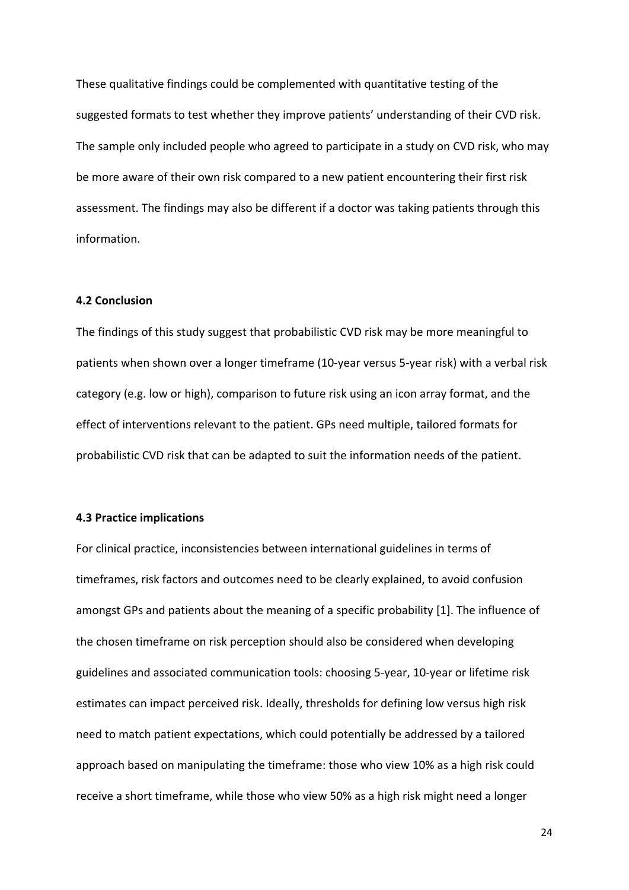These qualitative findings could be complemented with quantitative testing of the suggested formats to test whether they improve patients' understanding of their CVD risk. The sample only included people who agreed to participate in a study on CVD risk, who may be more aware of their own risk compared to a new patient encountering their first risk assessment. The findings may also be different if a doctor was taking patients through this information.

#### **4.2 Conclusion**

The findings of this study suggest that probabilistic CVD risk may be more meaningful to patients when shown over a longer timeframe (10‐year versus 5‐year risk) with a verbal risk category (e.g. low or high), comparison to future risk using an icon array format, and the effect of interventions relevant to the patient. GPs need multiple, tailored formats for probabilistic CVD risk that can be adapted to suit the information needs of the patient.

#### **4.3 Practice implications**

For clinical practice, inconsistencies between international guidelines in terms of timeframes, risk factors and outcomes need to be clearly explained, to avoid confusion amongst GPs and patients about the meaning of a specific probability [1]. The influence of the chosen timeframe on risk perception should also be considered when developing guidelines and associated communication tools: choosing 5‐year, 10‐year or lifetime risk estimates can impact perceived risk. Ideally, thresholds for defining low versus high risk need to match patient expectations, which could potentially be addressed by a tailored approach based on manipulating the timeframe: those who view 10% as a high risk could receive a short timeframe, while those who view 50% as a high risk might need a longer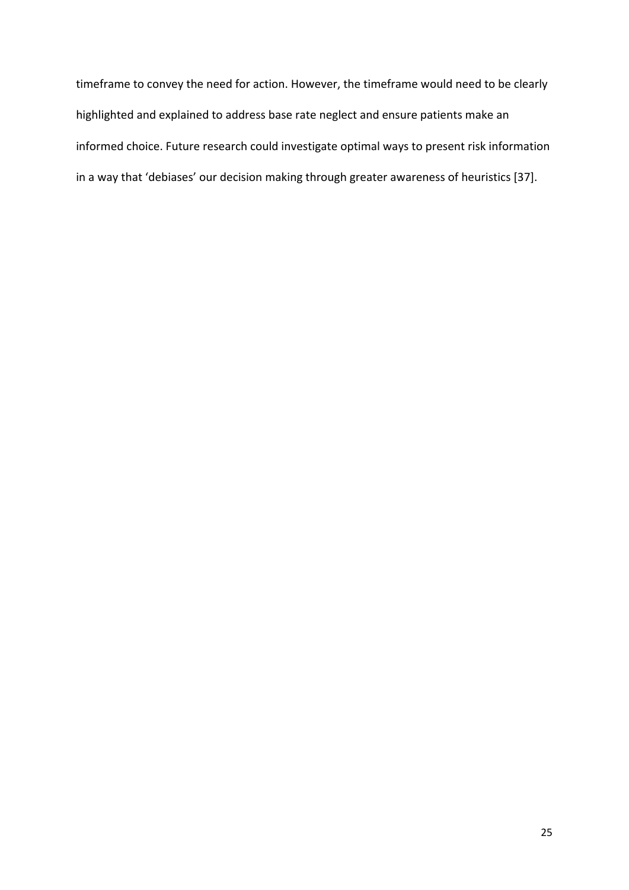timeframe to convey the need for action. However, the timeframe would need to be clearly highlighted and explained to address base rate neglect and ensure patients make an informed choice. Future research could investigate optimal ways to present risk information in a way that 'debiases' our decision making through greater awareness of heuristics [37].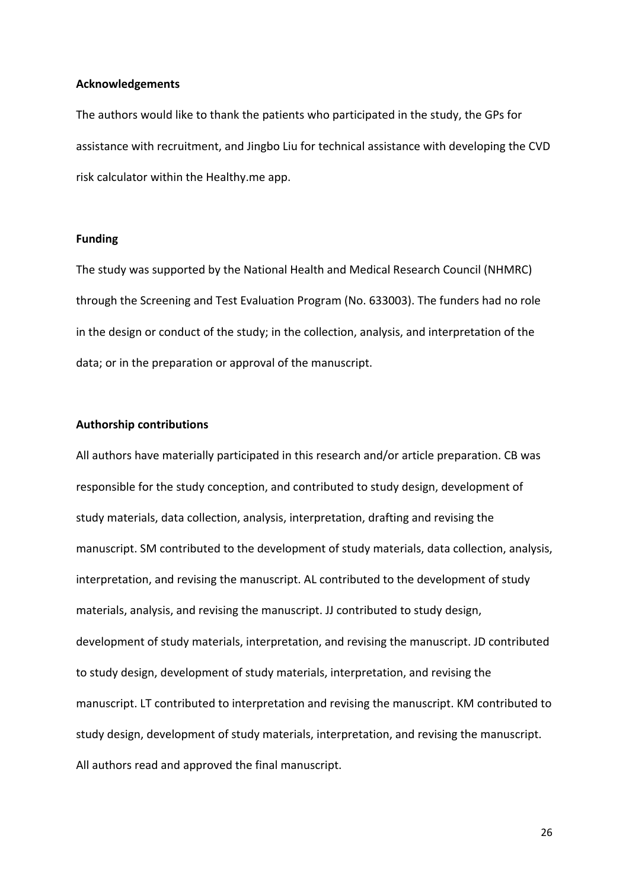#### **Acknowledgements**

The authors would like to thank the patients who participated in the study, the GPs for assistance with recruitment, and Jingbo Liu for technical assistance with developing the CVD risk calculator within the Healthy.me app.

#### **Funding**

The study was supported by the National Health and Medical Research Council (NHMRC) through the Screening and Test Evaluation Program (No. 633003). The funders had no role in the design or conduct of the study; in the collection, analysis, and interpretation of the data; or in the preparation or approval of the manuscript.

#### **Authorship contributions**

All authors have materially participated in this research and/or article preparation. CB was responsible for the study conception, and contributed to study design, development of study materials, data collection, analysis, interpretation, drafting and revising the manuscript. SM contributed to the development of study materials, data collection, analysis, interpretation, and revising the manuscript. AL contributed to the development of study materials, analysis, and revising the manuscript. JJ contributed to study design, development of study materials, interpretation, and revising the manuscript. JD contributed to study design, development of study materials, interpretation, and revising the manuscript. LT contributed to interpretation and revising the manuscript. KM contributed to study design, development of study materials, interpretation, and revising the manuscript. All authors read and approved the final manuscript.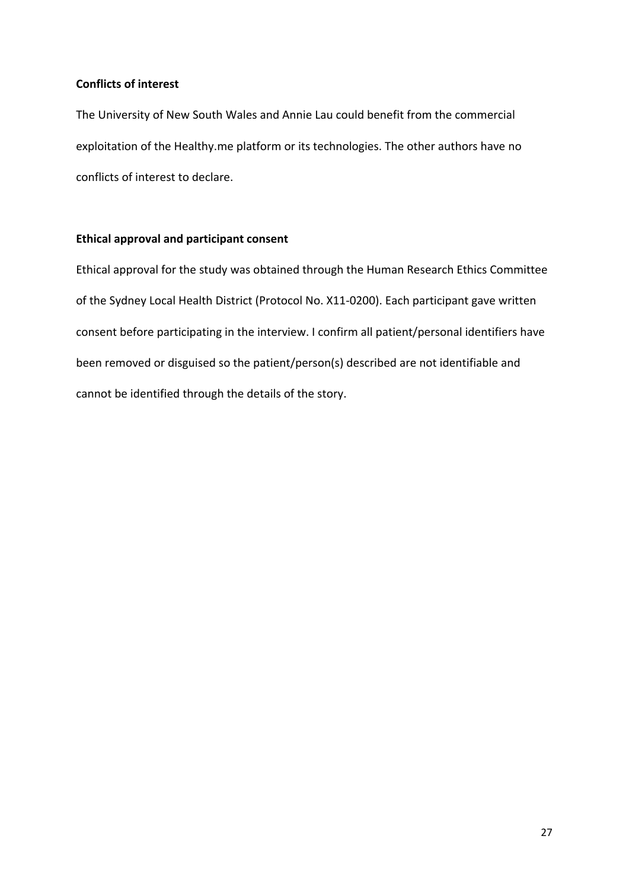# **Conflicts of interest**

The University of New South Wales and Annie Lau could benefit from the commercial exploitation of the Healthy.me platform or its technologies. The other authors have no conflicts of interest to declare.

# **Ethical approval and participant consent**

Ethical approval for the study was obtained through the Human Research Ethics Committee of the Sydney Local Health District (Protocol No. X11‐0200). Each participant gave written consent before participating in the interview. I confirm all patient/personal identifiers have been removed or disguised so the patient/person(s) described are not identifiable and cannot be identified through the details of the story.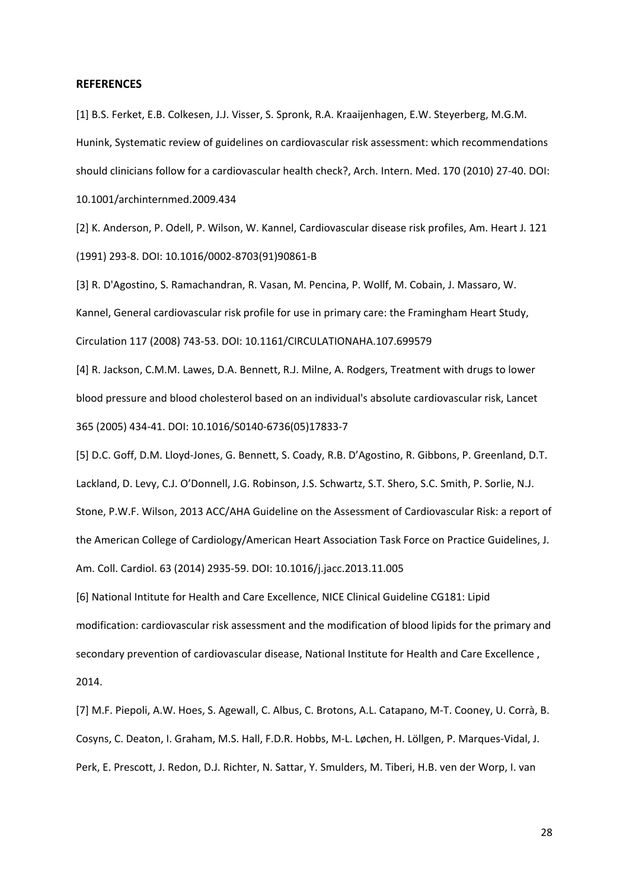#### **REFERENCES**

[1] B.S. Ferket, E.B. Colkesen, J.J. Visser, S. Spronk, R.A. Kraaijenhagen, E.W. Steyerberg, M.G.M. Hunink, Systematic review of guidelines on cardiovascular risk assessment: which recommendations should clinicians follow for a cardiovascular health check?, Arch. Intern. Med. 170 (2010) 27‐40. DOI: 10.1001/archinternmed.2009.434

[2] K. Anderson, P. Odell, P. Wilson, W. Kannel, Cardiovascular disease risk profiles, Am. Heart J. 121 (1991) 293‐8. DOI: 10.1016/0002‐8703(91)90861‐B

[3] R. D'Agostino, S. Ramachandran, R. Vasan, M. Pencina, P. Wollf, M. Cobain, J. Massaro, W. Kannel, General cardiovascular risk profile for use in primary care: the Framingham Heart Study, Circulation 117 (2008) 743‐53. DOI: 10.1161/CIRCULATIONAHA.107.699579

[4] R. Jackson, C.M.M. Lawes, D.A. Bennett, R.J. Milne, A. Rodgers, Treatment with drugs to lower blood pressure and blood cholesterol based on an individual's absolute cardiovascular risk, Lancet 365 (2005) 434‐41. DOI: 10.1016/S0140‐6736(05)17833‐7

[5] D.C. Goff, D.M. Lloyd‐Jones, G. Bennett, S. Coady, R.B. D'Agostino, R. Gibbons, P. Greenland, D.T. Lackland, D. Levy, C.J. O'Donnell, J.G. Robinson, J.S. Schwartz, S.T. Shero, S.C. Smith, P. Sorlie, N.J. Stone, P.W.F. Wilson, 2013 ACC/AHA Guideline on the Assessment of Cardiovascular Risk: a report of the American College of Cardiology/American Heart Association Task Force on Practice Guidelines, J. Am. Coll. Cardiol. 63 (2014) 2935‐59. DOI: 10.1016/j.jacc.2013.11.005

[6] National Intitute for Health and Care Excellence, NICE Clinical Guideline CG181: Lipid modification: cardiovascular risk assessment and the modification of blood lipids for the primary and secondary prevention of cardiovascular disease, National Institute for Health and Care Excellence , 2014.

[7] M.F. Piepoli, A.W. Hoes, S. Agewall, C. Albus, C. Brotons, A.L. Catapano, M‐T. Cooney, U. Corrà, B. Cosyns, C. Deaton, I. Graham, M.S. Hall, F.D.R. Hobbs, M‐L. Løchen, H. Löllgen, P. Marques‐Vidal, J. Perk, E. Prescott, J. Redon, D.J. Richter, N. Sattar, Y. Smulders, M. Tiberi, H.B. ven der Worp, I. van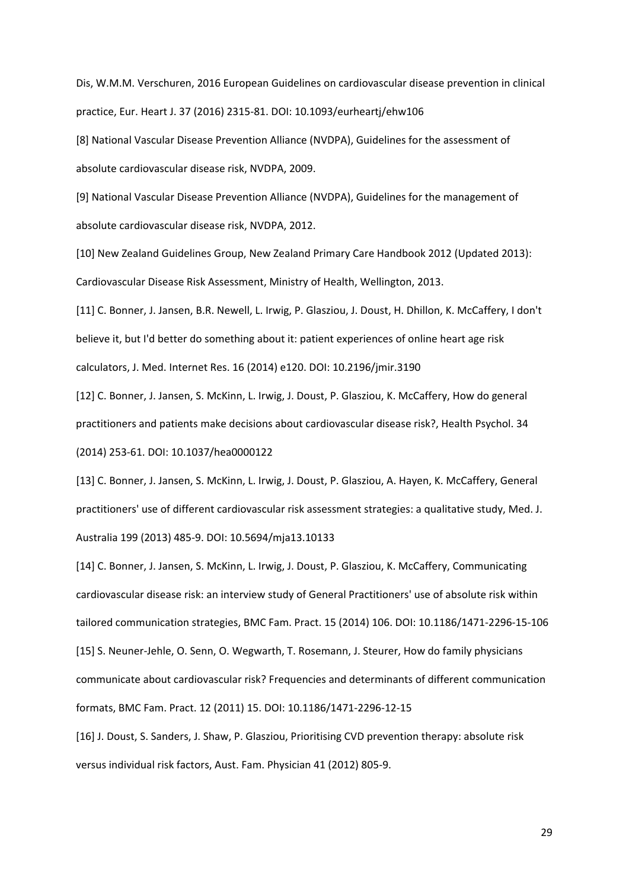Dis, W.M.M. Verschuren, 2016 European Guidelines on cardiovascular disease prevention in clinical practice, Eur. Heart J. 37 (2016) 2315‐81. DOI: 10.1093/eurheartj/ehw106

[8] National Vascular Disease Prevention Alliance (NVDPA), Guidelines for the assessment of absolute cardiovascular disease risk, NVDPA, 2009.

[9] National Vascular Disease Prevention Alliance (NVDPA), Guidelines for the management of absolute cardiovascular disease risk, NVDPA, 2012.

[10] New Zealand Guidelines Group, New Zealand Primary Care Handbook 2012 (Updated 2013): Cardiovascular Disease Risk Assessment, Ministry of Health, Wellington, 2013.

[11] C. Bonner, J. Jansen, B.R. Newell, L. Irwig, P. Glasziou, J. Doust, H. Dhillon, K. McCaffery, I don't believe it, but I'd better do something about it: patient experiences of online heart age risk calculators, J. Med. Internet Res. 16 (2014) e120. DOI: 10.2196/jmir.3190

[12] C. Bonner, J. Jansen, S. McKinn, L. Irwig, J. Doust, P. Glasziou, K. McCaffery, How do general practitioners and patients make decisions about cardiovascular disease risk?, Health Psychol. 34 (2014) 253‐61. DOI: 10.1037/hea0000122

[13] C. Bonner, J. Jansen, S. McKinn, L. Irwig, J. Doust, P. Glasziou, A. Hayen, K. McCaffery, General practitioners' use of different cardiovascular risk assessment strategies: a qualitative study, Med. J. Australia 199 (2013) 485‐9. DOI: 10.5694/mja13.10133

[14] C. Bonner, J. Jansen, S. McKinn, L. Irwig, J. Doust, P. Glasziou, K. McCaffery, Communicating cardiovascular disease risk: an interview study of General Practitioners' use of absolute risk within tailored communication strategies, BMC Fam. Pract. 15 (2014) 106. DOI: 10.1186/1471‐2296‐15‐106 [15] S. Neuner‐Jehle, O. Senn, O. Wegwarth, T. Rosemann, J. Steurer, How do family physicians communicate about cardiovascular risk? Frequencies and determinants of different communication formats, BMC Fam. Pract. 12 (2011) 15. DOI: 10.1186/1471‐2296‐12‐15

[16] J. Doust, S. Sanders, J. Shaw, P. Glasziou, Prioritising CVD prevention therapy: absolute risk versus individual risk factors, Aust. Fam. Physician 41 (2012) 805‐9.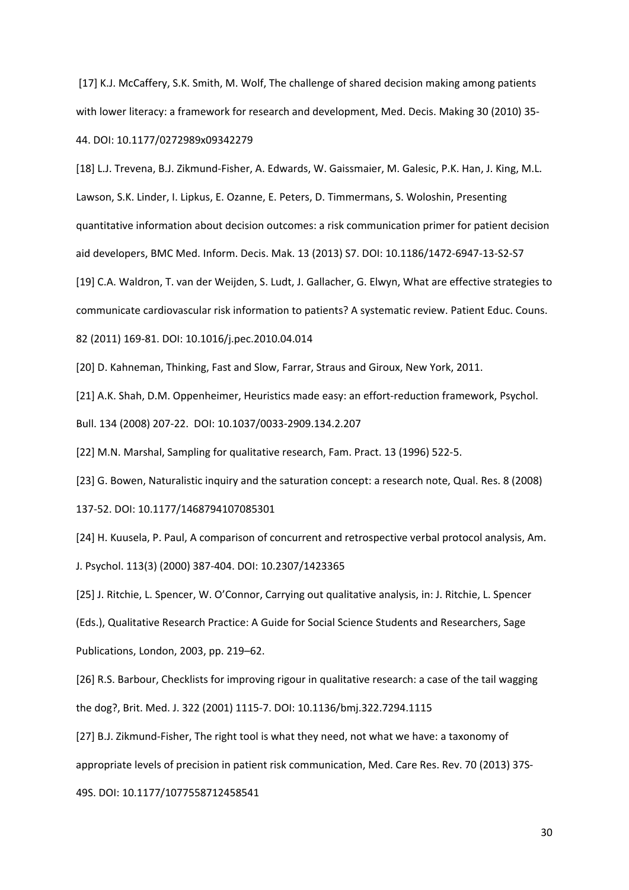[17] K.J. McCaffery, S.K. Smith, M. Wolf, The challenge of shared decision making among patients with lower literacy: a framework for research and development, Med. Decis. Making 30 (2010) 35‐ 44. DOI: 10.1177/0272989x09342279

[18] L.J. Trevena, B.J. Zikmund-Fisher, A. Edwards, W. Gaissmaier, M. Galesic, P.K. Han, J. King, M.L. Lawson, S.K. Linder, I. Lipkus, E. Ozanne, E. Peters, D. Timmermans, S. Woloshin, Presenting quantitative information about decision outcomes: a risk communication primer for patient decision aid developers, BMC Med. Inform. Decis. Mak. 13 (2013) S7. DOI: 10.1186/1472‐6947‐13‐S2‐S7 [19] C.A. Waldron, T. van der Weijden, S. Ludt, J. Gallacher, G. Elwyn, What are effective strategies to communicate cardiovascular risk information to patients? A systematic review. Patient Educ. Couns.

82 (2011) 169‐81. DOI: 10.1016/j.pec.2010.04.014

[20] D. Kahneman, Thinking, Fast and Slow, Farrar, Straus and Giroux, New York, 2011.

[21] A.K. Shah, D.M. Oppenheimer, Heuristics made easy: an effort-reduction framework, Psychol. Bull. 134 (2008) 207‐22. DOI: 10.1037/0033‐2909.134.2.207

[22] M.N. Marshal, Sampling for qualitative research, Fam. Pract. 13 (1996) 522‐5.

[23] G. Bowen, Naturalistic inquiry and the saturation concept: a research note, Qual. Res. 8 (2008)

137‐52. DOI: 10.1177/1468794107085301

[24] H. Kuusela, P. Paul, A comparison of concurrent and retrospective verbal protocol analysis, Am.

J. Psychol. 113(3) (2000) 387‐404. DOI: 10.2307/1423365

[25] J. Ritchie, L. Spencer, W. O'Connor, Carrying out qualitative analysis, in: J. Ritchie, L. Spencer (Eds.), Qualitative Research Practice: A Guide for Social Science Students and Researchers, Sage Publications, London, 2003, pp. 219–62.

[26] R.S. Barbour, Checklists for improving rigour in qualitative research: a case of the tail wagging the dog?, Brit. Med. J. 322 (2001) 1115‐7. DOI: 10.1136/bmj.322.7294.1115

[27] B.J. Zikmund‐Fisher, The right tool is what they need, not what we have: a taxonomy of appropriate levels of precision in patient risk communication, Med. Care Res. Rev. 70 (2013) 37S‐ 49S. DOI: 10.1177/1077558712458541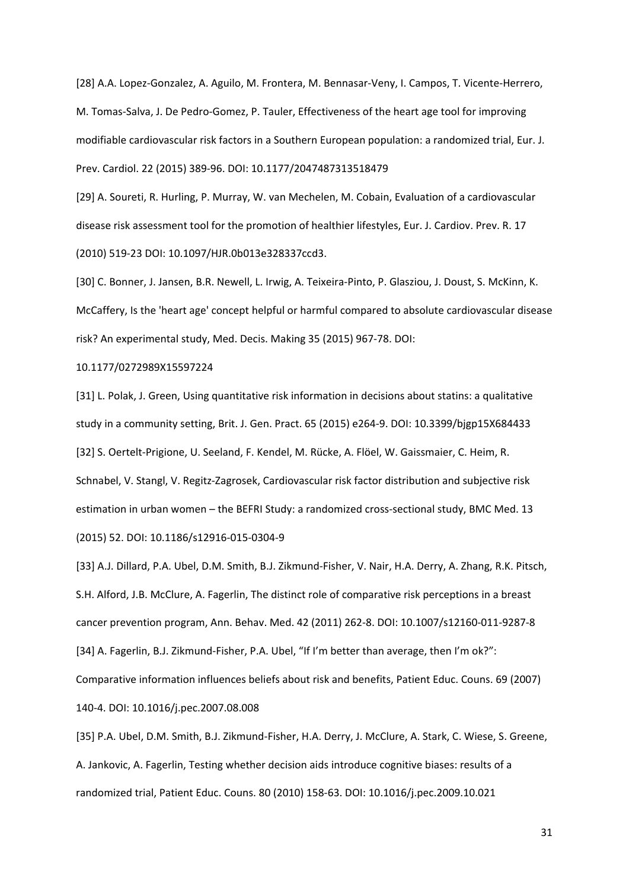[28] A.A. Lopez‐Gonzalez, A. Aguilo, M. Frontera, M. Bennasar‐Veny, I. Campos, T. Vicente‐Herrero, M. Tomas‐Salva, J. De Pedro‐Gomez, P. Tauler, Effectiveness of the heart age tool for improving modifiable cardiovascular risk factors in a Southern European population: a randomized trial, Eur. J. Prev. Cardiol. 22 (2015) 389‐96. DOI: 10.1177/2047487313518479

[29] A. Soureti, R. Hurling, P. Murray, W. van Mechelen, M. Cobain, Evaluation of a cardiovascular disease risk assessment tool for the promotion of healthier lifestyles, Eur. J. Cardiov. Prev. R. 17 (2010) 519‐23 DOI: 10.1097/HJR.0b013e328337ccd3.

[30] C. Bonner, J. Jansen, B.R. Newell, L. Irwig, A. Teixeira‐Pinto, P. Glasziou, J. Doust, S. McKinn, K. McCaffery, Is the 'heart age' concept helpful or harmful compared to absolute cardiovascular disease risk? An experimental study, Med. Decis. Making 35 (2015) 967‐78. DOI:

#### 10.1177/0272989X15597224

[31] L. Polak, J. Green, Using quantitative risk information in decisions about statins: a qualitative study in a community setting, Brit. J. Gen. Pract. 65 (2015) e264‐9. DOI: 10.3399/bjgp15X684433 [32] S. Oertelt-Prigione, U. Seeland, F. Kendel, M. Rücke, A. Flöel, W. Gaissmaier, C. Heim, R. Schnabel, V. Stangl, V. Regitz‐Zagrosek, Cardiovascular risk factor distribution and subjective risk estimation in urban women – the BEFRI Study: a randomized cross-sectional study, BMC Med. 13 (2015) 52. DOI: 10.1186/s12916‐015‐0304‐9

[33] A.J. Dillard, P.A. Ubel, D.M. Smith, B.J. Zikmund-Fisher, V. Nair, H.A. Derry, A. Zhang, R.K. Pitsch, S.H. Alford, J.B. McClure, A. Fagerlin, The distinct role of comparative risk perceptions in a breast cancer prevention program, Ann. Behav. Med. 42 (2011) 262‐8. DOI: 10.1007/s12160‐011‐9287‐8 [34] A. Fagerlin, B.J. Zikmund-Fisher, P.A. Ubel, "If I'm better than average, then I'm ok?": Comparative information influences beliefs about risk and benefits, Patient Educ. Couns. 69 (2007) 140‐4. DOI: 10.1016/j.pec.2007.08.008

[35] P.A. Ubel, D.M. Smith, B.J. Zikmund‐Fisher, H.A. Derry, J. McClure, A. Stark, C. Wiese, S. Greene, A. Jankovic, A. Fagerlin, Testing whether decision aids introduce cognitive biases: results of a randomized trial, Patient Educ. Couns. 80 (2010) 158‐63. DOI: 10.1016/j.pec.2009.10.021